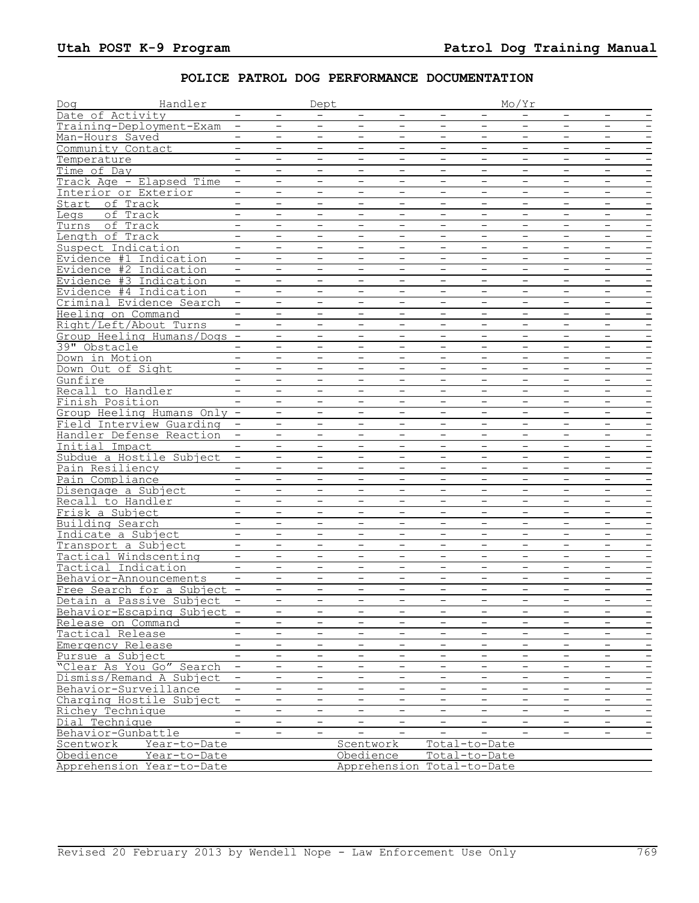## **POLICE PATROL DOG PERFORMANCE DOCUMENTATION**

| Dog       | Handler                     | Dept                     |                          |                          |                          | Mo/Yr                    |                          |                          |                          |                          |                          |                          |
|-----------|-----------------------------|--------------------------|--------------------------|--------------------------|--------------------------|--------------------------|--------------------------|--------------------------|--------------------------|--------------------------|--------------------------|--------------------------|
|           | Date of Activity            | $\qquad \qquad -$        | $\overline{\phantom{a}}$ | $\overline{\phantom{a}}$ | $\qquad \qquad -$        | $\qquad \qquad -$        | $\overline{\phantom{a}}$ |                          | $\qquad \qquad -$        | $\overline{\phantom{a}}$ | $\overline{\phantom{a}}$ | $\qquad \qquad -$        |
|           | Training-Deployment-Exam    |                          | $\overline{\phantom{m}}$ | $\overline{\phantom{0}}$ | $\overline{\phantom{0}}$ | $\overline{\phantom{0}}$ | $\overline{\phantom{m}}$ |                          | $-$                      | $\overline{\phantom{m}}$ | $\overline{\phantom{0}}$ |                          |
|           | Man-Hours Saved             | $-$                      | $\overline{\phantom{a}}$ | Ξ                        | $-$                      | $\overline{\phantom{0}}$ | $\overline{\phantom{m}}$ | $-$                      | $-$                      | $-$                      | $\overline{\phantom{a}}$ | $\overline{\phantom{m}}$ |
|           | Community Contact           |                          | $\overline{\phantom{m}}$ | $\overline{\phantom{m}}$ | $\overline{\phantom{m}}$ | $\overline{\phantom{m}}$ | $\overline{\phantom{m}}$ | $\overline{\phantom{0}}$ | $-$                      | $\overline{\phantom{0}}$ | $\overline{\phantom{m}}$ | $\overline{\phantom{a}}$ |
|           | Temperature                 |                          | $\overline{\phantom{0}}$ | $\overline{\phantom{a}}$ | $\qquad \qquad -$        | $\qquad \qquad -$        | $\overline{\phantom{a}}$ | $\overline{\phantom{0}}$ | $\overline{\phantom{a}}$ | $\overline{\phantom{0}}$ | $\overline{\phantom{0}}$ |                          |
|           | Time of Day                 |                          | $\qquad \qquad -$        | $\overline{\phantom{a}}$ | $\qquad \qquad -$        | $\qquad \qquad -$        | $\overline{\phantom{a}}$ | $\qquad \qquad -$        | $\overline{\phantom{m}}$ | $\qquad \qquad -$        | $\overline{\phantom{a}}$ | $\qquad \qquad -$        |
|           | Track Age - Elapsed Time    | $\qquad \qquad -$        | $\overline{\phantom{m}}$ | $\overline{\phantom{a}}$ | $\qquad \qquad -$        | $\overline{\phantom{m}}$ | $\overline{\phantom{m}}$ | $\overline{\phantom{m}}$ | $\overline{\phantom{m}}$ | $\qquad \qquad -$        | $\overline{\phantom{a}}$ | $\qquad \qquad -$        |
|           | Interior or Exterior        | $\overline{\phantom{0}}$ | $\overline{\phantom{0}}$ | $\equiv$                 | $\overline{\phantom{0}}$ | $\overline{\phantom{0}}$ | $\overline{\phantom{0}}$ | $\overline{\phantom{0}}$ | $\overline{\phantom{0}}$ | $\overline{\phantom{0}}$ | $\equiv$                 |                          |
|           | Start of Track              | $-$                      | $\overline{\phantom{m}}$ | $\overline{\phantom{m}}$ | $\overline{\phantom{m}}$ | $\overline{\phantom{m}}$ | $\overline{\phantom{m}}$ | $\overline{\phantom{0}}$ | $\qquad \qquad -$        | $\overline{\phantom{m}}$ | $\qquad \qquad -$        |                          |
| Legs      | of Track                    | $-$                      | $\overline{\phantom{0}}$ | $\overline{\phantom{0}}$ |                          |                          | $\overline{\phantom{m}}$ |                          | $\overline{\phantom{m}}$ | $\overline{\phantom{0}}$ | $\overline{\phantom{0}}$ |                          |
|           | Turns of Track              | $-$                      | $\overline{\phantom{a}}$ | $-$                      | $\overline{\phantom{0}}$ | $\overline{\phantom{0}}$ | $-$                      | $\qquad \qquad -$        | $-$                      | $-$                      | $-$                      | $\overline{\phantom{a}}$ |
|           | Length of Track             | $-$                      | $\overline{\phantom{m}}$ | $\overline{\phantom{a}}$ | $\qquad \qquad -$        | $\overline{\phantom{m}}$ | $\overline{\phantom{a}}$ | $\overline{\phantom{0}}$ | $\qquad \qquad -$        | $\qquad \qquad -$        | $\overline{\phantom{a}}$ |                          |
|           |                             | $-$                      | $\overline{\phantom{m}}$ | $\overline{\phantom{a}}$ | $\overline{\phantom{0}}$ | $\overline{\phantom{a}}$ | $\overline{\phantom{m}}$ | $\overline{\phantom{0}}$ | $-$                      | $\overline{\phantom{m}}$ | $-$                      |                          |
|           | Suspect Indication          |                          |                          |                          |                          |                          |                          |                          |                          |                          |                          |                          |
|           | Evidence #1 Indication      | $\overline{\phantom{a}}$ | $\overline{\phantom{a}}$ | $\overline{\phantom{m}}$ | $\qquad \qquad -$        | $\overline{\phantom{a}}$ | $\overline{\phantom{a}}$ | $\overline{\phantom{m}}$ | $\overline{\phantom{m}}$ | $\overline{\phantom{a}}$ | $\overline{\phantom{a}}$ |                          |
|           | Evidence #2 Indication      |                          |                          |                          |                          |                          | $\qquad \qquad -$        |                          |                          |                          |                          |                          |
|           | Evidence #3 Indication      | $-$                      | $\overline{\phantom{0}}$ | $\overline{\phantom{0}}$ | $\overline{\phantom{0}}$ | $\overline{\phantom{m}}$ | $-$                      | $\overline{\phantom{a}}$ | $-$                      | $\overline{\phantom{0}}$ | $\overline{\phantom{0}}$ | $\overline{\phantom{a}}$ |
|           | Evidence #4 Indication      | $-$                      |                          | $\overline{\phantom{m}}$ | $\overline{\phantom{0}}$ |                          | $\overline{\phantom{m}}$ |                          | $\qquad \qquad -$        |                          | $\qquad \qquad -$        |                          |
|           | Criminal Evidence Search    |                          | $\overline{\phantom{0}}$ | $-$                      |                          | $\overline{\phantom{0}}$ | $\overline{\phantom{0}}$ | $\overline{\phantom{0}}$ | $-$                      | $\overline{\phantom{0}}$ | $\overline{\phantom{a}}$ |                          |
|           | Heeling on Command          | $\overline{\phantom{0}}$ | $\overline{\phantom{0}}$ | $\qquad \qquad -$        | $\qquad \qquad -$        | $\qquad \qquad -$        | $\overline{\phantom{a}}$ | $\overline{\phantom{0}}$ | $\overline{\phantom{a}}$ | $\overline{\phantom{m}}$ | $\qquad \qquad -$        | $\qquad \qquad -$        |
|           | Right/Left/About Turns      |                          | $\qquad \qquad -$        | $\overline{\phantom{m}}$ | $\overline{\phantom{m}}$ | $\overline{\phantom{m}}$ | $\overline{\phantom{m}}$ |                          | $\overline{\phantom{a}}$ | $\qquad \qquad -$        | $\overline{\phantom{m}}$ | $\overline{\phantom{m}}$ |
|           | Group Heeling Humans/Dogs - |                          | $-$                      | $-$                      | $-$                      | $-$                      | $-$                      | $\overline{\phantom{0}}$ | $-$                      | $-$                      | $-$                      | $\qquad \qquad -$        |
|           | 39" Obstacle                |                          | $\overline{\phantom{0}}$ | $-$                      | $\overline{\phantom{a}}$ | $\overline{\phantom{m}}$ | $\overline{\phantom{m}}$ | $\overline{\phantom{0}}$ | $-$                      | $\overline{\phantom{0}}$ | $-$                      | $\qquad \qquad -$        |
|           | Down in Motion              |                          | $\overline{\phantom{m}}$ | $\overline{\phantom{0}}$ |                          | $\overline{\phantom{0}}$ | $\overline{\phantom{m}}$ |                          | $-$                      | $\overline{\phantom{m}}$ | $\overline{\phantom{a}}$ |                          |
|           | Down Out of Sight           |                          | $\overline{\phantom{m}}$ | $\overline{\phantom{a}}$ | $\qquad \qquad -$        | $\qquad \qquad -$        | $\overline{\phantom{a}}$ | $\overline{\phantom{m}}$ | $\qquad \qquad -$        | $\overline{\phantom{m}}$ | $\overline{\phantom{a}}$ | $\qquad \qquad -$        |
| Gunfire   |                             | $-$                      | $\overline{\phantom{m}}$ | $\overline{\phantom{m}}$ | $\overline{\phantom{a}}$ | $\overline{\phantom{m}}$ | $\overline{\phantom{m}}$ | $\overline{\phantom{m}}$ | $\overline{\phantom{a}}$ | $\overline{\phantom{m}}$ | $\overline{\phantom{a}}$ | $\overline{\phantom{m}}$ |
|           | Recall to Handler           | $-$                      | $\equiv$                 | $\equiv$                 | $\overline{\phantom{0}}$ | $\overline{\phantom{0}}$ | $\overline{\phantom{0}}$ | $\overline{\phantom{0}}$ | $-$                      | $\overline{\phantom{0}}$ | $\equiv$                 |                          |
|           | Finish Position             |                          | $\overline{\phantom{m}}$ | $\overline{\phantom{a}}$ | $\overline{\phantom{0}}$ | $\overline{\phantom{a}}$ | $\overline{\phantom{a}}$ | $\overline{\phantom{0}}$ | $\overline{\phantom{a}}$ | $\overline{\phantom{0}}$ | $-$                      |                          |
|           | Group Heeling Humans Only - |                          | $\overline{\phantom{0}}$ | $\overline{\phantom{0}}$ |                          | $\qquad \qquad -$        | $\overline{\phantom{a}}$ |                          | $\overline{\phantom{a}}$ | $\overline{\phantom{0}}$ | $\overline{\phantom{0}}$ |                          |
|           | Field Interview Guarding    | $-$                      | $\overline{\phantom{a}}$ | $-$                      | $\overline{\phantom{0}}$ | $\qquad \qquad -$        | $\overline{\phantom{m}}$ | $\overline{\phantom{m}}$ | $\overline{\phantom{a}}$ | $\qquad \qquad -$        | $\overline{\phantom{a}}$ | $\qquad \qquad -$        |
|           | Handler Defense Reaction    | $\overline{\phantom{m}}$ | $\overline{\phantom{m}}$ | $\qquad \qquad -$        | $\overline{\phantom{m}}$ | $\qquad \qquad -$        | $\overline{\phantom{m}}$ | $\overline{\phantom{0}}$ | $\overline{\phantom{0}}$ | $\overline{\phantom{m}}$ | $\overline{\phantom{a}}$ |                          |
|           | Initial Impact              |                          | $\overline{\phantom{0}}$ | $-$                      | $\overline{\phantom{0}}$ | $\qquad \qquad -$        | $\overline{\phantom{m}}$ | $\qquad \qquad -$        | $-$                      | $\overline{\phantom{m}}$ | $-$                      | $\overline{\phantom{m}}$ |
|           | Subdue a Hostile Subject    | $-$                      | $\overline{\phantom{m}}$ | $\overline{\phantom{a}}$ | $\overline{\phantom{m}}$ | $\qquad \qquad -$        | $\overline{\phantom{m}}$ | $\overline{\phantom{0}}$ | $\overline{\phantom{m}}$ | $\overline{\phantom{m}}$ | $\overline{\phantom{a}}$ | $\overline{\phantom{m}}$ |
|           | Pain Resiliency             |                          |                          |                          |                          |                          | $\overline{\phantom{m}}$ |                          |                          |                          |                          |                          |
|           | Pain Compliance             | $ \,$                    | $\overline{\phantom{0}}$ | $-$                      | $\overline{\phantom{0}}$ | $\overline{\phantom{m}}$ | $-$                      | $\overline{\phantom{m}}$ | $-$                      | $\overline{\phantom{0}}$ | $\overline{\phantom{0}}$ |                          |
|           |                             | $\overline{\phantom{0}}$ | $\overline{\phantom{0}}$ | $\qquad \qquad -$        | $\qquad \qquad -$        | $\overline{\phantom{0}}$ | $\overline{\phantom{m}}$ | $\overline{\phantom{0}}$ | $\overline{\phantom{m}}$ | $\qquad \qquad -$        | $\qquad \qquad -$        | $\overline{\phantom{a}}$ |
|           | Disengage a Subject         | $\overline{\phantom{a}}$ | $\equiv$                 | $-$                      | $\overline{\phantom{0}}$ | $\overline{\phantom{a}}$ | $\overline{\phantom{a}}$ | $\equiv$                 | $-$                      | $\overline{\phantom{0}}$ | $-$                      |                          |
|           | Recall to Handler           |                          |                          |                          |                          |                          |                          |                          |                          |                          |                          |                          |
|           | Frisk a Subject             | $\overline{\phantom{a}}$ | $\overline{\phantom{a}}$ | $\overline{\phantom{a}}$ | $\qquad \qquad -$        | $\qquad \qquad -$        | $\overline{\phantom{a}}$ | $\qquad \qquad -$        | $\overline{\phantom{a}}$ | $\overline{\phantom{a}}$ | $\overline{\phantom{a}}$ | $\qquad \qquad -$        |
|           | Building Search             |                          | $\overline{\phantom{0}}$ | $\overline{\phantom{m}}$ | $\overline{\phantom{m}}$ | $\overline{\phantom{m}}$ | $\overline{\phantom{m}}$ |                          | $\qquad \qquad -$        | $\qquad \qquad -$        | $\overline{\phantom{m}}$ |                          |
|           | Indicate a Subject          | $-$                      | $\overline{\phantom{a}}$ | $-$                      | $-$                      | $\overline{\phantom{a}}$ | $\overline{\phantom{m}}$ | $\overline{\phantom{0}}$ | $-$                      | $-$                      | $\overline{\phantom{a}}$ | $\overline{\phantom{a}}$ |
|           | Transport a Subject         | $\qquad \qquad -$        | $\overline{\phantom{m}}$ | $\overline{\phantom{m}}$ | $\qquad \qquad -$        | $\overline{\phantom{m}}$ | $\overline{\phantom{m}}$ | $\overline{\phantom{m}}$ | $\qquad \qquad -$        | $\overline{\phantom{m}}$ | $\qquad \qquad -$        | $\qquad \qquad -$        |
|           | Tactical Windscenting       |                          | $\overline{\phantom{0}}$ | $\overline{\phantom{0}}$ | $\overline{\phantom{0}}$ | $\overline{\phantom{0}}$ | $\overline{\phantom{m}}$ |                          | $\overline{\phantom{0}}$ | $\overline{\phantom{m}}$ | $\overline{\phantom{0}}$ |                          |
|           | Tactical Indication         |                          | $\overline{\phantom{m}}$ | $\overline{\phantom{a}}$ | $\overline{\phantom{0}}$ | $\qquad \qquad -$        | $\qquad \qquad -$        | $\overline{\phantom{m}}$ | $\overline{\phantom{0}}$ | $\overline{\phantom{m}}$ | $\qquad \qquad -$        | $\qquad \qquad -$        |
|           | Behavior-Announcements      |                          | $\overline{\phantom{m}}$ | $\overline{\phantom{0}}$ | $\overline{\phantom{0}}$ | $\qquad \qquad -$        | $\overline{\phantom{m}}$ | $\overline{\phantom{0}}$ | $-$                      | $\overline{\phantom{a}}$ | $\overline{\phantom{0}}$ |                          |
|           | Free Search for a Subject - |                          | $\overline{\phantom{0}}$ | $\overline{\phantom{0}}$ | $\overline{\phantom{0}}$ | $\overline{\phantom{0}}$ | $\overline{\phantom{a}}$ | $-$                      | $\overline{\phantom{0}}$ | $-$                      | $\overline{\phantom{a}}$ | $\qquad \qquad -$        |
|           | Detain a Passive Subject    | $\overline{\phantom{a}}$ | $\overline{\phantom{m}}$ | $\overline{\phantom{0}}$ | $\overline{\phantom{0}}$ | $\overline{\phantom{0}}$ | $\overline{\phantom{m}}$ | $\overline{\phantom{m}}$ | $-$                      | $\overline{\phantom{m}}$ | $-$                      | $\overline{\phantom{a}}$ |
|           | Behavior-Escaping Subject   |                          |                          |                          |                          |                          |                          |                          |                          |                          |                          |                          |
|           | Release on Command          |                          | $\overline{\phantom{a}}$ | $\qquad \qquad -$        | $\qquad \qquad -$        | -                        | $\qquad \qquad -$        | $\qquad \qquad -$        | $\qquad \qquad -$        | $\overline{\phantom{a}}$ | $\overline{\phantom{a}}$ | $\qquad \qquad -$        |
|           | Tactical Release            | -                        | -                        | $\qquad \qquad -$        | -                        | -                        | $\overline{\phantom{a}}$ | -                        | $\qquad \qquad -$        | $\overline{\phantom{a}}$ | $\qquad \qquad -$        | $\overline{\phantom{a}}$ |
|           | Emergency Release           | $\overline{\phantom{0}}$ | $\overline{\phantom{0}}$ | $\overline{\phantom{0}}$ | $\overline{\phantom{0}}$ | $\overline{\phantom{0}}$ | $\equiv$                 | $\overline{\phantom{0}}$ | $\equiv$                 | $\overline{\phantom{0}}$ | $=$                      | $\overline{\phantom{m}}$ |
|           | Pursue a Subject            | $\overline{\phantom{a}}$ | $\overline{\phantom{a}}$ | $\qquad \qquad -$        | $\overline{\phantom{a}}$ | -                        | $\overline{\phantom{a}}$ | $\qquad \qquad -$        | $\overline{\phantom{a}}$ | $\overline{\phantom{a}}$ | $\qquad \qquad -$        | $\overline{\phantom{a}}$ |
|           | "Clear As You Go" Search    | $\qquad \qquad -$        | -                        | $\overline{\phantom{0}}$ | $\qquad \qquad -$        | -                        | -                        | -                        | $\qquad \qquad -$        | -                        | $\qquad \qquad -$        |                          |
|           | Dismiss/Remand A Subject    | $\overline{1}$           | $\overline{\phantom{a}}$ | $\qquad \qquad -$        | $\overline{\phantom{0}}$ | $\overline{\phantom{0}}$ | $\overline{\phantom{a}}$ | $\overline{\phantom{0}}$ | $\overline{\phantom{0}}$ | $\overline{\phantom{0}}$ | $\overline{1}$           | $\qquad \qquad -$        |
|           | Behavior-Surveillance       | $\qquad \qquad -$        | $\overline{\phantom{0}}$ | $\qquad \qquad -$        | $\qquad \qquad -$        | -                        | $\overline{\phantom{a}}$ | $\qquad \qquad -$        | $\qquad \qquad -$        | $\overline{\phantom{0}}$ | $\qquad \qquad -$        | $\qquad \qquad -$        |
|           | Charging Hostile Subject    | $-$                      | $\overline{\phantom{0}}$ | $\overline{\phantom{0}}$ | $\overline{\phantom{0}}$ | $\overline{\phantom{0}}$ | $\overline{\phantom{0}}$ | $\overline{\phantom{0}}$ | $\overline{\phantom{0}}$ | $\overline{\phantom{0}}$ | $\overline{\phantom{0}}$ | $\overline{\phantom{m}}$ |
|           |                             |                          |                          |                          |                          |                          |                          |                          |                          |                          |                          |                          |
|           | Richey Technique            | $\overline{\phantom{0}}$ | $\overline{\phantom{a}}$ | $\qquad \qquad -$        | $\qquad \qquad -$        | $\overline{\phantom{0}}$ | $\overline{\phantom{a}}$ | $\qquad \qquad -$        | $\qquad \qquad -$        | $\overline{\phantom{a}}$ | $\qquad \qquad -$        | $\overline{\phantom{0}}$ |
|           | Dial Technique              | $\qquad \qquad -$        | -                        | $\qquad \qquad -$        | $\overline{\phantom{m}}$ | -                        | $\overline{\phantom{a}}$ |                          | $\qquad \qquad -$        | -                        | -                        |                          |
|           | Behavior-Gunbattle          | $\overline{\phantom{0}}$ | $\overline{\phantom{0}}$ | $\overline{\phantom{0}}$ |                          | $\overline{\phantom{a}}$ | $\overline{\phantom{0}}$ |                          | $\overline{\phantom{0}}$ | $\overline{\phantom{0}}$ | $\overline{\phantom{0}}$ | $\qquad \qquad -$        |
| Scentwork | Year-to-Date                |                          |                          |                          | Scentwork                |                          |                          | Total-to-Date            |                          |                          |                          |                          |
| Obedience | Year-to-Date                |                          |                          |                          | Obedience                |                          | Total-to-Date            |                          |                          |                          |                          |                          |
|           | Apprehension Year-to-Date   |                          |                          |                          | Apprehension             |                          | Total-to-Date            |                          |                          |                          |                          |                          |